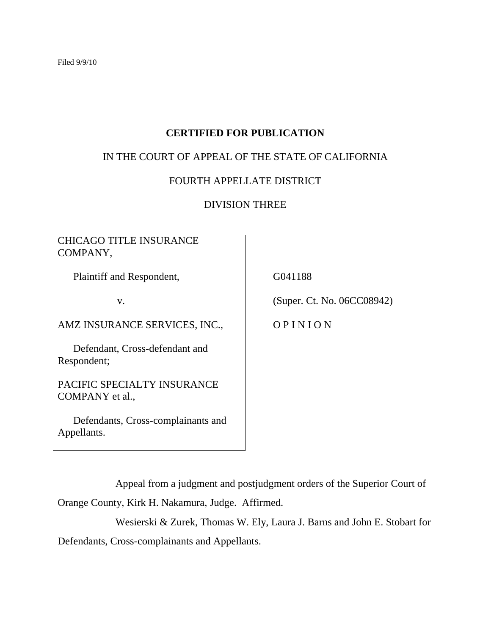# **CERTIFIED FOR PUBLICATION**

# IN THE COURT OF APPEAL OF THE STATE OF CALIFORNIA

### FOURTH APPELLATE DISTRICT

# DIVISION THREE

# CHICAGO TITLE INSURANCE COMPANY,

Plaintiff and Respondent,

v.

AMZ INSURANCE SERVICES, INC.,

 Defendant, Cross-defendant and Respondent;

PACIFIC SPECIALTY INSURANCE COMPANY et al.,

 Defendants, Cross-complainants and Appellants.

G041188

(Super. Ct. No. 06CC08942)

O P I N I O N

Appeal from a judgment and postjudgment orders of the Superior Court of

Orange County, Kirk H. Nakamura, Judge. Affirmed.

Wesierski & Zurek, Thomas W. Ely, Laura J. Barns and John E. Stobart for Defendants, Cross-complainants and Appellants.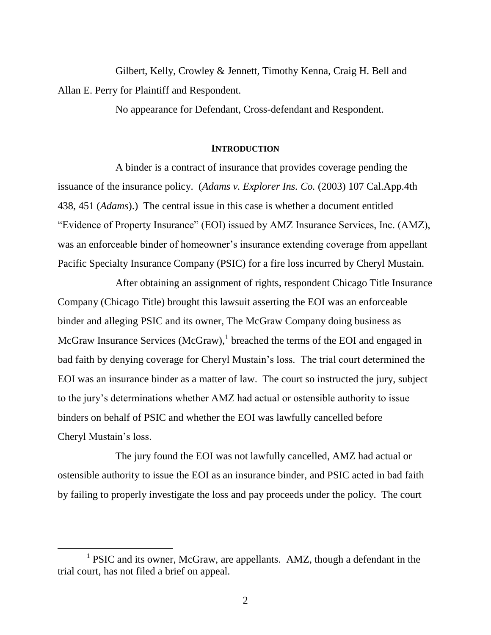Gilbert, Kelly, Crowley & Jennett, Timothy Kenna, Craig H. Bell and Allan E. Perry for Plaintiff and Respondent.

No appearance for Defendant, Cross-defendant and Respondent.

#### **INTRODUCTION**

A binder is a contract of insurance that provides coverage pending the issuance of the insurance policy. (*Adams v. Explorer Ins. Co.* (2003) 107 Cal.App.4th 438, 451 (*Adams*).) The central issue in this case is whether a document entitled "Evidence of Property Insurance" (EOI) issued by AMZ Insurance Services, Inc. (AMZ), was an enforceable binder of homeowner's insurance extending coverage from appellant Pacific Specialty Insurance Company (PSIC) for a fire loss incurred by Cheryl Mustain.

After obtaining an assignment of rights, respondent Chicago Title Insurance Company (Chicago Title) brought this lawsuit asserting the EOI was an enforceable binder and alleging PSIC and its owner, The McGraw Company doing business as McGraw Insurance Services (McGraw), $<sup>1</sup>$  breached the terms of the EOI and engaged in</sup> bad faith by denying coverage for Cheryl Mustain"s loss. The trial court determined the EOI was an insurance binder as a matter of law. The court so instructed the jury, subject to the jury"s determinations whether AMZ had actual or ostensible authority to issue binders on behalf of PSIC and whether the EOI was lawfully cancelled before Cheryl Mustain"s loss.

The jury found the EOI was not lawfully cancelled, AMZ had actual or ostensible authority to issue the EOI as an insurance binder, and PSIC acted in bad faith by failing to properly investigate the loss and pay proceeds under the policy. The court

<sup>&</sup>lt;sup>1</sup> PSIC and its owner, McGraw, are appellants. AMZ, though a defendant in the trial court, has not filed a brief on appeal.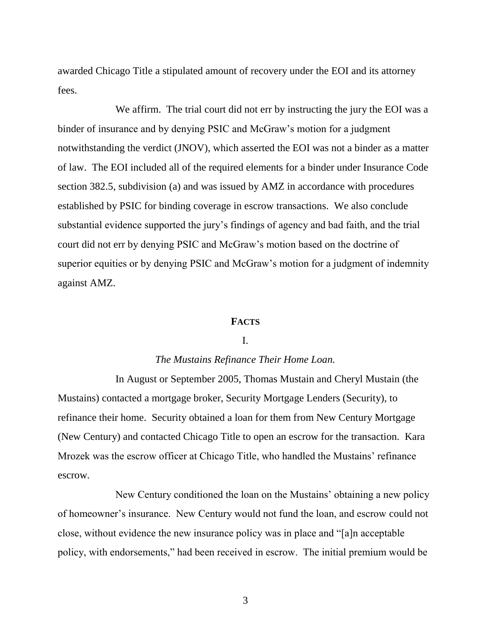awarded Chicago Title a stipulated amount of recovery under the EOI and its attorney fees.

We affirm. The trial court did not err by instructing the jury the EOI was a binder of insurance and by denying PSIC and McGraw's motion for a judgment notwithstanding the verdict (JNOV), which asserted the EOI was not a binder as a matter of law. The EOI included all of the required elements for a binder under Insurance Code section 382.5, subdivision (a) and was issued by AMZ in accordance with procedures established by PSIC for binding coverage in escrow transactions. We also conclude substantial evidence supported the jury"s findings of agency and bad faith, and the trial court did not err by denying PSIC and McGraw"s motion based on the doctrine of superior equities or by denying PSIC and McGraw's motion for a judgment of indemnity against AMZ.

#### **FACTS**

#### I.

### *The Mustains Refinance Their Home Loan.*

In August or September 2005, Thomas Mustain and Cheryl Mustain (the Mustains) contacted a mortgage broker, Security Mortgage Lenders (Security), to refinance their home. Security obtained a loan for them from New Century Mortgage (New Century) and contacted Chicago Title to open an escrow for the transaction. Kara Mrozek was the escrow officer at Chicago Title, who handled the Mustains' refinance escrow.

New Century conditioned the loan on the Mustains" obtaining a new policy of homeowner"s insurance. New Century would not fund the loan, and escrow could not close, without evidence the new insurance policy was in place and "[a]n acceptable policy, with endorsements," had been received in escrow. The initial premium would be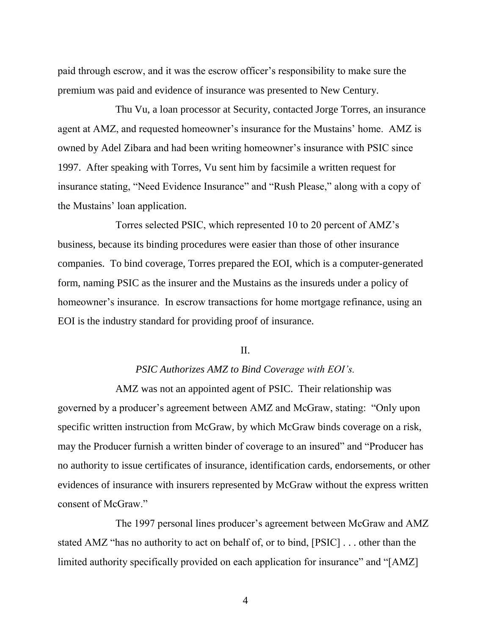paid through escrow, and it was the escrow officer"s responsibility to make sure the premium was paid and evidence of insurance was presented to New Century.

Thu Vu, a loan processor at Security, contacted Jorge Torres, an insurance agent at AMZ, and requested homeowner's insurance for the Mustains' home. AMZ is owned by Adel Zibara and had been writing homeowner"s insurance with PSIC since 1997. After speaking with Torres, Vu sent him by facsimile a written request for insurance stating, "Need Evidence Insurance" and "Rush Please," along with a copy of the Mustains" loan application.

Torres selected PSIC, which represented 10 to 20 percent of AMZ"s business, because its binding procedures were easier than those of other insurance companies. To bind coverage, Torres prepared the EOI, which is a computer-generated form, naming PSIC as the insurer and the Mustains as the insureds under a policy of homeowner's insurance. In escrow transactions for home mortgage refinance, using an EOI is the industry standard for providing proof of insurance.

### $II$ .

# *PSIC Authorizes AMZ to Bind Coverage with EOI's.*

AMZ was not an appointed agent of PSIC. Their relationship was governed by a producer"s agreement between AMZ and McGraw, stating: "Only upon specific written instruction from McGraw, by which McGraw binds coverage on a risk, may the Producer furnish a written binder of coverage to an insured" and "Producer has no authority to issue certificates of insurance, identification cards, endorsements, or other evidences of insurance with insurers represented by McGraw without the express written consent of McGraw."

The 1997 personal lines producer's agreement between McGraw and AMZ stated AMZ "has no authority to act on behalf of, or to bind, [PSIC] . . . other than the limited authority specifically provided on each application for insurance" and "[AMZ]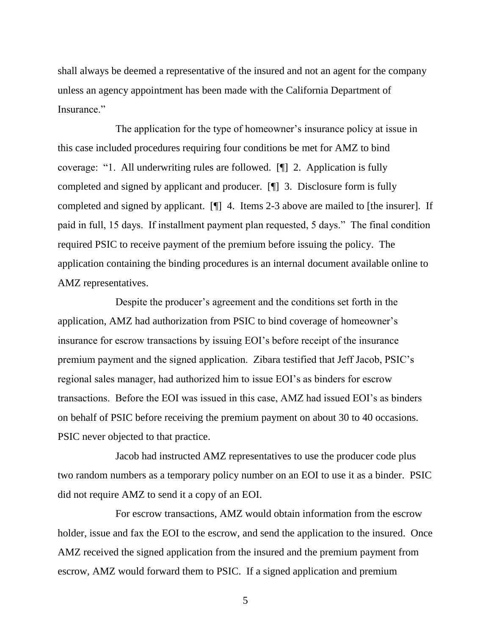shall always be deemed a representative of the insured and not an agent for the company unless an agency appointment has been made with the California Department of Insurance."

The application for the type of homeowner's insurance policy at issue in this case included procedures requiring four conditions be met for AMZ to bind coverage: "1. All underwriting rules are followed. [¶] 2. Application is fully completed and signed by applicant and producer. [¶] 3. Disclosure form is fully completed and signed by applicant. [¶] 4. Items 2-3 above are mailed to [the insurer]. If paid in full, 15 days. If installment payment plan requested, 5 days." The final condition required PSIC to receive payment of the premium before issuing the policy. The application containing the binding procedures is an internal document available online to AMZ representatives.

Despite the producer's agreement and the conditions set forth in the application, AMZ had authorization from PSIC to bind coverage of homeowner's insurance for escrow transactions by issuing EOI"s before receipt of the insurance premium payment and the signed application. Zibara testified that Jeff Jacob, PSIC"s regional sales manager, had authorized him to issue EOI"s as binders for escrow transactions. Before the EOI was issued in this case, AMZ had issued EOI"s as binders on behalf of PSIC before receiving the premium payment on about 30 to 40 occasions. PSIC never objected to that practice.

Jacob had instructed AMZ representatives to use the producer code plus two random numbers as a temporary policy number on an EOI to use it as a binder. PSIC did not require AMZ to send it a copy of an EOI.

For escrow transactions, AMZ would obtain information from the escrow holder, issue and fax the EOI to the escrow, and send the application to the insured. Once AMZ received the signed application from the insured and the premium payment from escrow, AMZ would forward them to PSIC. If a signed application and premium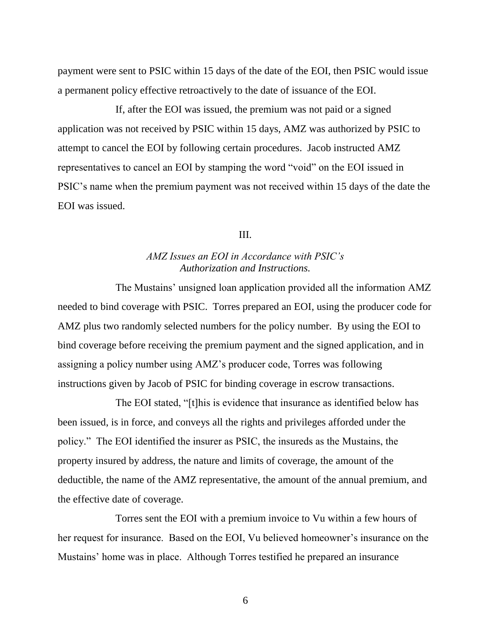payment were sent to PSIC within 15 days of the date of the EOI, then PSIC would issue a permanent policy effective retroactively to the date of issuance of the EOI.

If, after the EOI was issued, the premium was not paid or a signed application was not received by PSIC within 15 days, AMZ was authorized by PSIC to attempt to cancel the EOI by following certain procedures. Jacob instructed AMZ representatives to cancel an EOI by stamping the word "void" on the EOI issued in PSIC"s name when the premium payment was not received within 15 days of the date the EOI was issued.

#### III.

# *AMZ Issues an EOI in Accordance with PSIC's Authorization and Instructions.*

The Mustains' unsigned loan application provided all the information AMZ needed to bind coverage with PSIC. Torres prepared an EOI, using the producer code for AMZ plus two randomly selected numbers for the policy number. By using the EOI to bind coverage before receiving the premium payment and the signed application, and in assigning a policy number using AMZ"s producer code, Torres was following instructions given by Jacob of PSIC for binding coverage in escrow transactions.

The EOI stated, "[t]his is evidence that insurance as identified below has been issued, is in force, and conveys all the rights and privileges afforded under the policy." The EOI identified the insurer as PSIC, the insureds as the Mustains, the property insured by address, the nature and limits of coverage, the amount of the deductible, the name of the AMZ representative, the amount of the annual premium, and the effective date of coverage.

Torres sent the EOI with a premium invoice to Vu within a few hours of her request for insurance. Based on the EOI, Vu believed homeowner's insurance on the Mustains" home was in place. Although Torres testified he prepared an insurance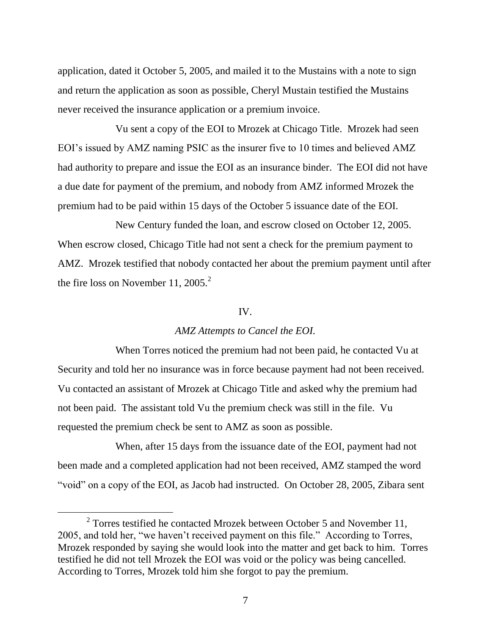application, dated it October 5, 2005, and mailed it to the Mustains with a note to sign and return the application as soon as possible, Cheryl Mustain testified the Mustains never received the insurance application or a premium invoice.

Vu sent a copy of the EOI to Mrozek at Chicago Title. Mrozek had seen EOI"s issued by AMZ naming PSIC as the insurer five to 10 times and believed AMZ had authority to prepare and issue the EOI as an insurance binder. The EOI did not have a due date for payment of the premium, and nobody from AMZ informed Mrozek the premium had to be paid within 15 days of the October 5 issuance date of the EOI.

New Century funded the loan, and escrow closed on October 12, 2005. When escrow closed, Chicago Title had not sent a check for the premium payment to AMZ. Mrozek testified that nobody contacted her about the premium payment until after the fire loss on November 11, 2005.<sup>2</sup>

#### IV.

### *AMZ Attempts to Cancel the EOI.*

When Torres noticed the premium had not been paid, he contacted Vu at Security and told her no insurance was in force because payment had not been received. Vu contacted an assistant of Mrozek at Chicago Title and asked why the premium had not been paid. The assistant told Vu the premium check was still in the file. Vu requested the premium check be sent to AMZ as soon as possible.

When, after 15 days from the issuance date of the EOI, payment had not been made and a completed application had not been received, AMZ stamped the word "void" on a copy of the EOI, as Jacob had instructed. On October 28, 2005, Zibara sent

 $2^2$  Torres testified he contacted Mrozek between October 5 and November 11, 2005, and told her, "we haven"t received payment on this file." According to Torres, Mrozek responded by saying she would look into the matter and get back to him. Torres testified he did not tell Mrozek the EOI was void or the policy was being cancelled. According to Torres, Mrozek told him she forgot to pay the premium.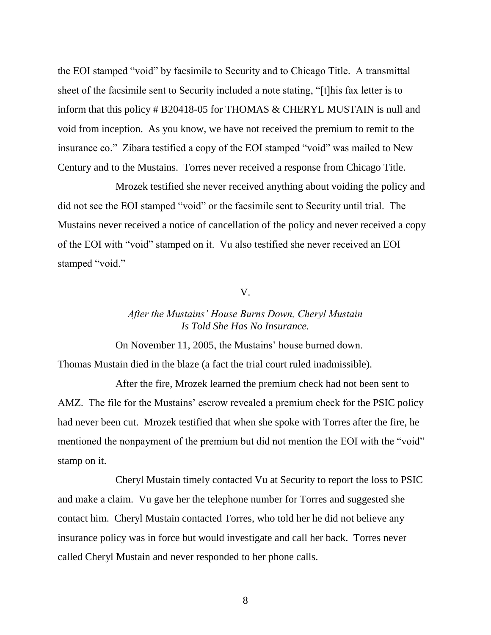the EOI stamped "void" by facsimile to Security and to Chicago Title. A transmittal sheet of the facsimile sent to Security included a note stating, "[t]his fax letter is to inform that this policy # B20418-05 for THOMAS & CHERYL MUSTAIN is null and void from inception. As you know, we have not received the premium to remit to the insurance co." Zibara testified a copy of the EOI stamped "void" was mailed to New Century and to the Mustains. Torres never received a response from Chicago Title.

Mrozek testified she never received anything about voiding the policy and did not see the EOI stamped "void" or the facsimile sent to Security until trial. The Mustains never received a notice of cancellation of the policy and never received a copy of the EOI with "void" stamped on it. Vu also testified she never received an EOI stamped "void."

V.

# *After the Mustains' House Burns Down, Cheryl Mustain Is Told She Has No Insurance.*

On November 11, 2005, the Mustains" house burned down.

Thomas Mustain died in the blaze (a fact the trial court ruled inadmissible).

After the fire, Mrozek learned the premium check had not been sent to AMZ. The file for the Mustains' escrow revealed a premium check for the PSIC policy had never been cut. Mrozek testified that when she spoke with Torres after the fire, he mentioned the nonpayment of the premium but did not mention the EOI with the "void" stamp on it.

Cheryl Mustain timely contacted Vu at Security to report the loss to PSIC and make a claim. Vu gave her the telephone number for Torres and suggested she contact him. Cheryl Mustain contacted Torres, who told her he did not believe any insurance policy was in force but would investigate and call her back. Torres never called Cheryl Mustain and never responded to her phone calls.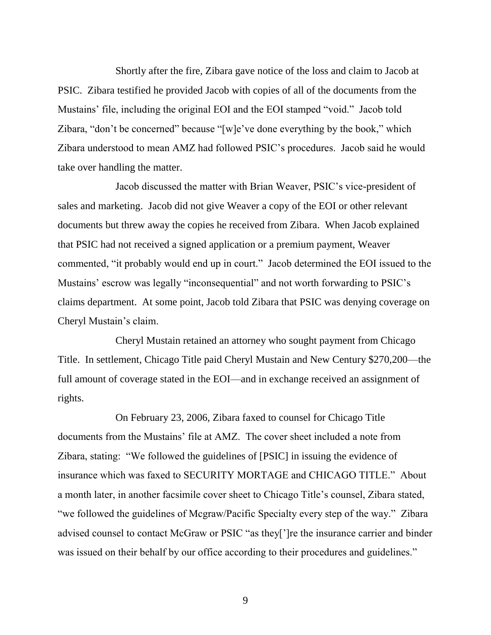Shortly after the fire, Zibara gave notice of the loss and claim to Jacob at PSIC. Zibara testified he provided Jacob with copies of all of the documents from the Mustains" file, including the original EOI and the EOI stamped "void." Jacob told Zibara, "don't be concerned" because "[w]e've done everything by the book," which Zibara understood to mean AMZ had followed PSIC"s procedures. Jacob said he would take over handling the matter.

Jacob discussed the matter with Brian Weaver, PSIC"s vice-president of sales and marketing. Jacob did not give Weaver a copy of the EOI or other relevant documents but threw away the copies he received from Zibara. When Jacob explained that PSIC had not received a signed application or a premium payment, Weaver commented, "it probably would end up in court." Jacob determined the EOI issued to the Mustains' escrow was legally "inconsequential" and not worth forwarding to PSIC's claims department. At some point, Jacob told Zibara that PSIC was denying coverage on Cheryl Mustain"s claim.

Cheryl Mustain retained an attorney who sought payment from Chicago Title. In settlement, Chicago Title paid Cheryl Mustain and New Century \$270,200—the full amount of coverage stated in the EOI—and in exchange received an assignment of rights.

On February 23, 2006, Zibara faxed to counsel for Chicago Title documents from the Mustains" file at AMZ. The cover sheet included a note from Zibara, stating: "We followed the guidelines of [PSIC] in issuing the evidence of insurance which was faxed to SECURITY MORTAGE and CHICAGO TITLE." About a month later, in another facsimile cover sheet to Chicago Title"s counsel, Zibara stated, "we followed the guidelines of Mcgraw/Pacific Specialty every step of the way." Zibara advised counsel to contact McGraw or PSIC "as they["]re the insurance carrier and binder was issued on their behalf by our office according to their procedures and guidelines."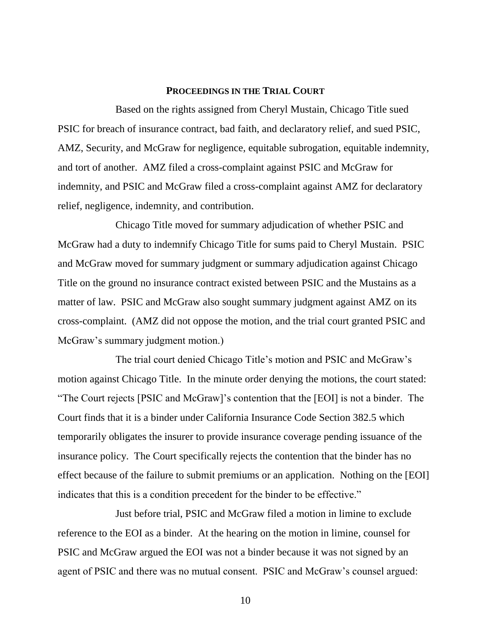#### **PROCEEDINGS IN THE TRIAL COURT**

Based on the rights assigned from Cheryl Mustain, Chicago Title sued PSIC for breach of insurance contract, bad faith, and declaratory relief, and sued PSIC, AMZ, Security, and McGraw for negligence, equitable subrogation, equitable indemnity, and tort of another. AMZ filed a cross-complaint against PSIC and McGraw for indemnity, and PSIC and McGraw filed a cross-complaint against AMZ for declaratory relief, negligence, indemnity, and contribution.

Chicago Title moved for summary adjudication of whether PSIC and McGraw had a duty to indemnify Chicago Title for sums paid to Cheryl Mustain. PSIC and McGraw moved for summary judgment or summary adjudication against Chicago Title on the ground no insurance contract existed between PSIC and the Mustains as a matter of law. PSIC and McGraw also sought summary judgment against AMZ on its cross-complaint. (AMZ did not oppose the motion, and the trial court granted PSIC and McGraw's summary judgment motion.)

The trial court denied Chicago Title"s motion and PSIC and McGraw"s motion against Chicago Title. In the minute order denying the motions, the court stated: "The Court rejects [PSIC and McGraw]"s contention that the [EOI] is not a binder. The Court finds that it is a binder under California Insurance Code Section 382.5 which temporarily obligates the insurer to provide insurance coverage pending issuance of the insurance policy. The Court specifically rejects the contention that the binder has no effect because of the failure to submit premiums or an application. Nothing on the [EOI] indicates that this is a condition precedent for the binder to be effective."

Just before trial, PSIC and McGraw filed a motion in limine to exclude reference to the EOI as a binder. At the hearing on the motion in limine, counsel for PSIC and McGraw argued the EOI was not a binder because it was not signed by an agent of PSIC and there was no mutual consent. PSIC and McGraw"s counsel argued: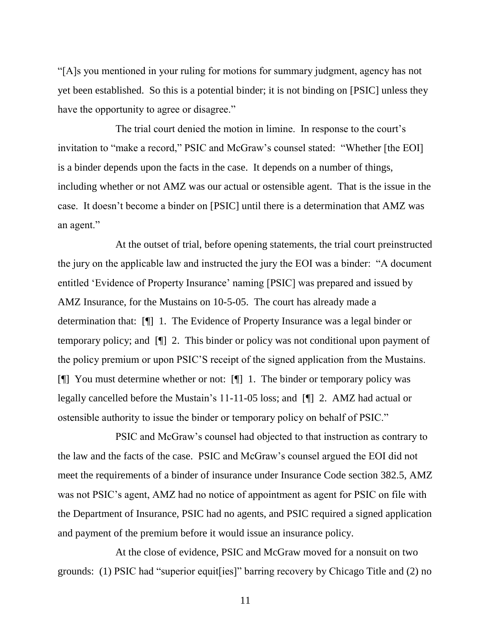"[A]s you mentioned in your ruling for motions for summary judgment, agency has not yet been established. So this is a potential binder; it is not binding on [PSIC] unless they have the opportunity to agree or disagree."

The trial court denied the motion in limine. In response to the court's invitation to "make a record," PSIC and McGraw"s counsel stated: "Whether [the EOI] is a binder depends upon the facts in the case. It depends on a number of things, including whether or not AMZ was our actual or ostensible agent. That is the issue in the case. It doesn"t become a binder on [PSIC] until there is a determination that AMZ was an agent."

At the outset of trial, before opening statements, the trial court preinstructed the jury on the applicable law and instructed the jury the EOI was a binder: "A document entitled "Evidence of Property Insurance" naming [PSIC] was prepared and issued by AMZ Insurance, for the Mustains on 10-5-05. The court has already made a determination that: [¶] 1. The Evidence of Property Insurance was a legal binder or temporary policy; and [¶] 2. This binder or policy was not conditional upon payment of the policy premium or upon PSIC"S receipt of the signed application from the Mustains. [¶] You must determine whether or not: [¶] 1. The binder or temporary policy was legally cancelled before the Mustain"s 11-11-05 loss; and [¶] 2. AMZ had actual or ostensible authority to issue the binder or temporary policy on behalf of PSIC."

PSIC and McGraw"s counsel had objected to that instruction as contrary to the law and the facts of the case. PSIC and McGraw"s counsel argued the EOI did not meet the requirements of a binder of insurance under Insurance Code section 382.5, AMZ was not PSIC"s agent, AMZ had no notice of appointment as agent for PSIC on file with the Department of Insurance, PSIC had no agents, and PSIC required a signed application and payment of the premium before it would issue an insurance policy.

At the close of evidence, PSIC and McGraw moved for a nonsuit on two grounds: (1) PSIC had "superior equit[ies]" barring recovery by Chicago Title and (2) no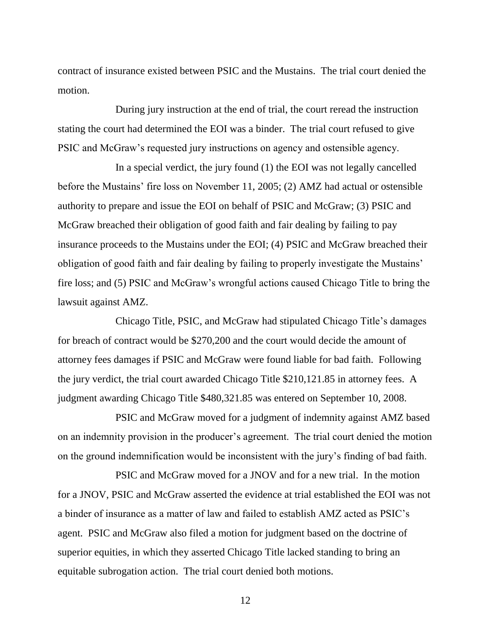contract of insurance existed between PSIC and the Mustains. The trial court denied the motion.

During jury instruction at the end of trial, the court reread the instruction stating the court had determined the EOI was a binder. The trial court refused to give PSIC and McGraw"s requested jury instructions on agency and ostensible agency.

In a special verdict, the jury found (1) the EOI was not legally cancelled before the Mustains' fire loss on November 11, 2005; (2) AMZ had actual or ostensible authority to prepare and issue the EOI on behalf of PSIC and McGraw; (3) PSIC and McGraw breached their obligation of good faith and fair dealing by failing to pay insurance proceeds to the Mustains under the EOI; (4) PSIC and McGraw breached their obligation of good faith and fair dealing by failing to properly investigate the Mustains" fire loss; and (5) PSIC and McGraw"s wrongful actions caused Chicago Title to bring the lawsuit against AMZ.

Chicago Title, PSIC, and McGraw had stipulated Chicago Title"s damages for breach of contract would be \$270,200 and the court would decide the amount of attorney fees damages if PSIC and McGraw were found liable for bad faith. Following the jury verdict, the trial court awarded Chicago Title \$210,121.85 in attorney fees. A judgment awarding Chicago Title \$480,321.85 was entered on September 10, 2008.

PSIC and McGraw moved for a judgment of indemnity against AMZ based on an indemnity provision in the producer"s agreement. The trial court denied the motion on the ground indemnification would be inconsistent with the jury"s finding of bad faith.

PSIC and McGraw moved for a JNOV and for a new trial. In the motion for a JNOV, PSIC and McGraw asserted the evidence at trial established the EOI was not a binder of insurance as a matter of law and failed to establish AMZ acted as PSIC"s agent. PSIC and McGraw also filed a motion for judgment based on the doctrine of superior equities, in which they asserted Chicago Title lacked standing to bring an equitable subrogation action. The trial court denied both motions.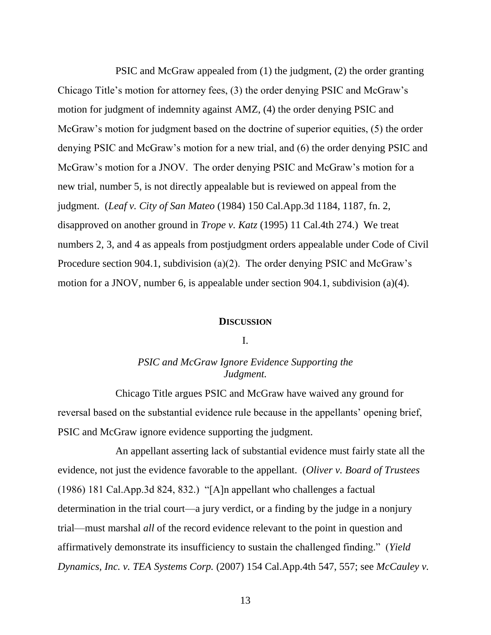PSIC and McGraw appealed from (1) the judgment, (2) the order granting Chicago Title"s motion for attorney fees, (3) the order denying PSIC and McGraw"s motion for judgment of indemnity against AMZ, (4) the order denying PSIC and McGraw's motion for judgment based on the doctrine of superior equities, (5) the order denying PSIC and McGraw"s motion for a new trial, and (6) the order denying PSIC and McGraw's motion for a JNOV. The order denying PSIC and McGraw's motion for a new trial, number 5, is not directly appealable but is reviewed on appeal from the judgment. (*Leaf v. City of San Mateo* (1984) 150 Cal.App.3d 1184, 1187, fn. 2, disapproved on another ground in *Trope v. Katz* (1995) 11 Cal.4th 274.) We treat numbers 2, 3, and 4 as appeals from postjudgment orders appealable under Code of Civil Procedure section 904.1, subdivision (a)(2). The order denying PSIC and McGraw's motion for a JNOV, number 6, is appealable under section 904.1, subdivision (a)(4).

#### **DISCUSSION**

#### I.

# *PSIC and McGraw Ignore Evidence Supporting the Judgment.*

Chicago Title argues PSIC and McGraw have waived any ground for reversal based on the substantial evidence rule because in the appellants' opening brief, PSIC and McGraw ignore evidence supporting the judgment.

An appellant asserting lack of substantial evidence must fairly state all the evidence, not just the evidence favorable to the appellant. (*Oliver v. Board of Trustees* (1986) 181 Cal.App.3d 824, 832.) "[A]n appellant who challenges a factual determination in the trial court—a jury verdict, or a finding by the judge in a nonjury trial—must marshal *all* of the record evidence relevant to the point in question and affirmatively demonstrate its insufficiency to sustain the challenged finding." (*Yield Dynamics, Inc. v. TEA Systems Corp.* (2007) 154 Cal.App.4th 547, 557; see *McCauley v.*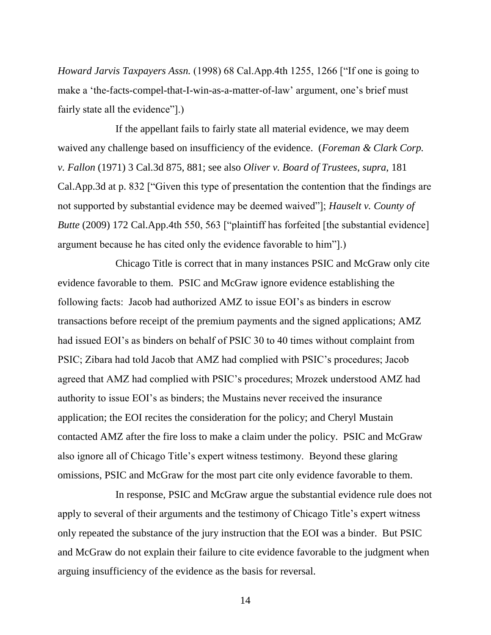*Howard Jarvis Taxpayers Assn.* (1998) 68 Cal.App.4th 1255, 1266 ["If one is going to make a 'the-facts-compel-that-I-win-as-a-matter-of-law' argument, one's brief must fairly state all the evidence"].)

If the appellant fails to fairly state all material evidence, we may deem waived any challenge based on insufficiency of the evidence. (*Foreman & Clark Corp. v. Fallon* (1971) 3 Cal.3d 875, 881; see also *Oliver v. Board of Trustees*, *supra*, 181 Cal.App.3d at p. 832 ["Given this type of presentation the contention that the findings are not supported by substantial evidence may be deemed waived"]; *Hauselt v. County of Butte* (2009) 172 Cal.App.4th 550, 563 ["plaintiff has forfeited [the substantial evidence] argument because he has cited only the evidence favorable to him"].)

Chicago Title is correct that in many instances PSIC and McGraw only cite evidence favorable to them. PSIC and McGraw ignore evidence establishing the following facts: Jacob had authorized AMZ to issue EOI"s as binders in escrow transactions before receipt of the premium payments and the signed applications; AMZ had issued EOI's as binders on behalf of PSIC 30 to 40 times without complaint from PSIC; Zibara had told Jacob that AMZ had complied with PSIC"s procedures; Jacob agreed that AMZ had complied with PSIC"s procedures; Mrozek understood AMZ had authority to issue EOI"s as binders; the Mustains never received the insurance application; the EOI recites the consideration for the policy; and Cheryl Mustain contacted AMZ after the fire loss to make a claim under the policy. PSIC and McGraw also ignore all of Chicago Title"s expert witness testimony. Beyond these glaring omissions, PSIC and McGraw for the most part cite only evidence favorable to them.

In response, PSIC and McGraw argue the substantial evidence rule does not apply to several of their arguments and the testimony of Chicago Title's expert witness only repeated the substance of the jury instruction that the EOI was a binder. But PSIC and McGraw do not explain their failure to cite evidence favorable to the judgment when arguing insufficiency of the evidence as the basis for reversal.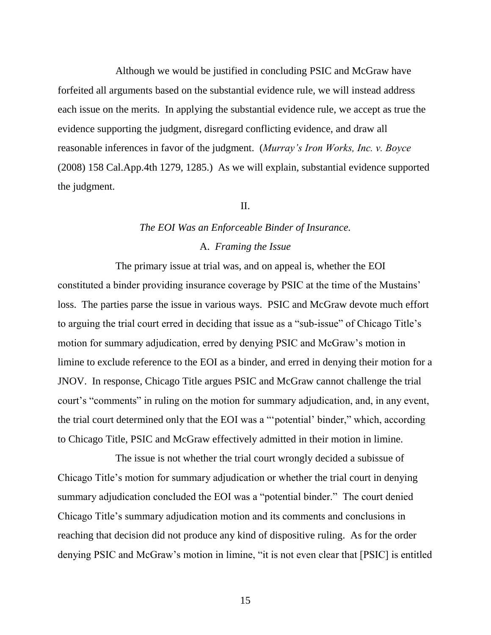Although we would be justified in concluding PSIC and McGraw have forfeited all arguments based on the substantial evidence rule, we will instead address each issue on the merits. In applying the substantial evidence rule, we accept as true the evidence supporting the judgment, disregard conflicting evidence, and draw all reasonable inferences in favor of the judgment. (*Murray's Iron Works, Inc. v. Boyce* (2008) 158 Cal.App.4th 1279, 1285.) As we will explain, substantial evidence supported the judgment.

#### II.

# *The EOI Was an Enforceable Binder of Insurance.* A. *Framing the Issue*

The primary issue at trial was, and on appeal is, whether the EOI constituted a binder providing insurance coverage by PSIC at the time of the Mustains" loss. The parties parse the issue in various ways. PSIC and McGraw devote much effort to arguing the trial court erred in deciding that issue as a "sub-issue" of Chicago Title"s motion for summary adjudication, erred by denying PSIC and McGraw"s motion in limine to exclude reference to the EOI as a binder, and erred in denying their motion for a JNOV. In response, Chicago Title argues PSIC and McGraw cannot challenge the trial court's "comments" in ruling on the motion for summary adjudication, and, in any event, the trial court determined only that the EOI was a ""potential" binder," which, according to Chicago Title, PSIC and McGraw effectively admitted in their motion in limine.

The issue is not whether the trial court wrongly decided a subissue of Chicago Title"s motion for summary adjudication or whether the trial court in denying summary adjudication concluded the EOI was a "potential binder." The court denied Chicago Title"s summary adjudication motion and its comments and conclusions in reaching that decision did not produce any kind of dispositive ruling. As for the order denying PSIC and McGraw"s motion in limine, "it is not even clear that [PSIC] is entitled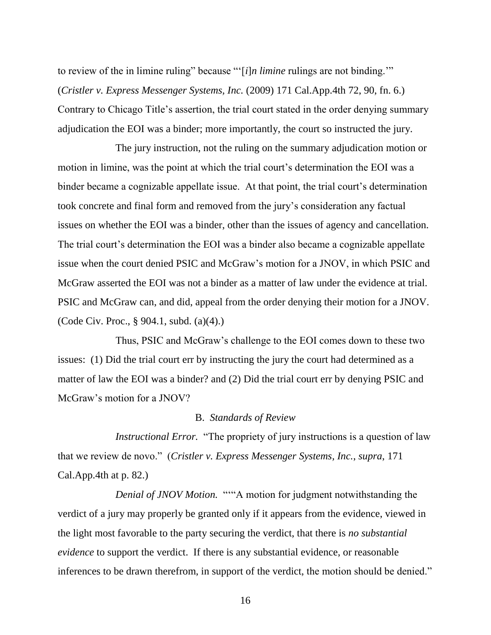to review of the in limine ruling" because ""[*i*]*n limine* rulings are not binding."" (*Cristler v. Express Messenger Systems, Inc.* (2009) 171 Cal.App.4th 72, 90, fn. 6.) Contrary to Chicago Title"s assertion, the trial court stated in the order denying summary adjudication the EOI was a binder; more importantly, the court so instructed the jury.

The jury instruction, not the ruling on the summary adjudication motion or motion in limine, was the point at which the trial court's determination the EOI was a binder became a cognizable appellate issue. At that point, the trial court's determination took concrete and final form and removed from the jury"s consideration any factual issues on whether the EOI was a binder, other than the issues of agency and cancellation. The trial court's determination the EOI was a binder also became a cognizable appellate issue when the court denied PSIC and McGraw"s motion for a JNOV, in which PSIC and McGraw asserted the EOI was not a binder as a matter of law under the evidence at trial. PSIC and McGraw can, and did, appeal from the order denying their motion for a JNOV. (Code Civ. Proc., § 904.1, subd. (a)(4).)

Thus, PSIC and McGraw"s challenge to the EOI comes down to these two issues: (1) Did the trial court err by instructing the jury the court had determined as a matter of law the EOI was a binder? and (2) Did the trial court err by denying PSIC and McGraw"s motion for a JNOV?

#### B. *Standards of Review*

*Instructional Error.* "The propriety of jury instructions is a question of law that we review de novo." (*Cristler v. Express Messenger Systems, Inc.*, *supra*, 171 Cal.App.4th at p. 82.)

*Denial of JNOV Motion.* """A motion for judgment notwithstanding the verdict of a jury may properly be granted only if it appears from the evidence, viewed in the light most favorable to the party securing the verdict, that there is *no substantial evidence* to support the verdict. If there is any substantial evidence, or reasonable inferences to be drawn therefrom, in support of the verdict, the motion should be denied."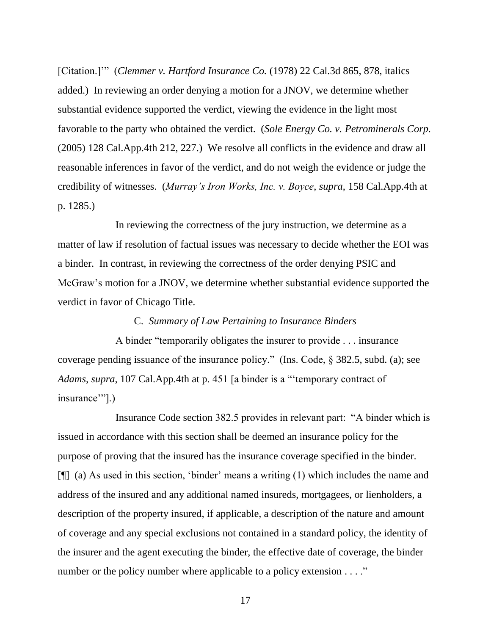[Citation.]"" (*Clemmer v. Hartford Insurance Co.* (1978) 22 Cal.3d 865, 878, italics added.) In reviewing an order denying a motion for a JNOV, we determine whether substantial evidence supported the verdict, viewing the evidence in the light most favorable to the party who obtained the verdict. (*Sole Energy Co. v. Petrominerals Corp.* (2005) 128 Cal.App.4th 212, 227.) We resolve all conflicts in the evidence and draw all reasonable inferences in favor of the verdict, and do not weigh the evidence or judge the credibility of witnesses. (*Murray's Iron Works, Inc. v. Boyce*, *supra*, 158 Cal.App.4th at p. 1285.)

In reviewing the correctness of the jury instruction, we determine as a matter of law if resolution of factual issues was necessary to decide whether the EOI was a binder. In contrast, in reviewing the correctness of the order denying PSIC and McGraw"s motion for a JNOV, we determine whether substantial evidence supported the verdict in favor of Chicago Title.

#### C. *Summary of Law Pertaining to Insurance Binders*

A binder "temporarily obligates the insurer to provide . . . insurance coverage pending issuance of the insurance policy." (Ins. Code, § 382.5, subd. (a); see *Adams*, *supra*, 107 Cal.App.4th at p. 451 [a binder is a ""temporary contract of insurance".)

Insurance Code section 382.5 provides in relevant part: "A binder which is issued in accordance with this section shall be deemed an insurance policy for the purpose of proving that the insured has the insurance coverage specified in the binder.  $[\n\mathbb{T}]$  (a) As used in this section, 'binder' means a writing (1) which includes the name and address of the insured and any additional named insureds, mortgagees, or lienholders, a description of the property insured, if applicable, a description of the nature and amount of coverage and any special exclusions not contained in a standard policy, the identity of the insurer and the agent executing the binder, the effective date of coverage, the binder number or the policy number where applicable to a policy extension . . . ."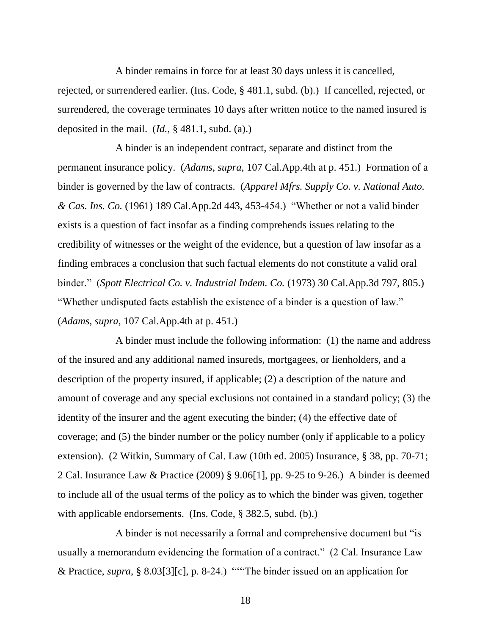A binder remains in force for at least 30 days unless it is cancelled, rejected, or surrendered earlier. (Ins. Code, § 481.1, subd. (b).) If cancelled, rejected, or surrendered, the coverage terminates 10 days after written notice to the named insured is deposited in the mail. (*Id.*, § 481.1, subd. (a).)

A binder is an independent contract, separate and distinct from the permanent insurance policy. (*Adams*, *supra*, 107 Cal.App.4th at p. 451.) Formation of a binder is governed by the law of contracts. (*Apparel Mfrs. Supply Co. v. National Auto. & Cas. Ins. Co.* (1961) 189 Cal.App.2d 443, 453-454.) "Whether or not a valid binder exists is a question of fact insofar as a finding comprehends issues relating to the credibility of witnesses or the weight of the evidence, but a question of law insofar as a finding embraces a conclusion that such factual elements do not constitute a valid oral binder." (*Spott Electrical Co. v. Industrial Indem. Co.* (1973) 30 Cal.App.3d 797, 805.) "Whether undisputed facts establish the existence of a binder is a question of law." (*Adams*, *supra*, 107 Cal.App.4th at p. 451.)

A binder must include the following information: (1) the name and address of the insured and any additional named insureds, mortgagees, or lienholders, and a description of the property insured, if applicable; (2) a description of the nature and amount of coverage and any special exclusions not contained in a standard policy; (3) the identity of the insurer and the agent executing the binder; (4) the effective date of coverage; and (5) the binder number or the policy number (only if applicable to a policy extension). (2 Witkin, Summary of Cal. Law (10th ed. 2005) Insurance, § 38, pp. 70-71; 2 Cal. Insurance Law & Practice (2009) § 9.06[1], pp. 9-25 to 9-26.) A binder is deemed to include all of the usual terms of the policy as to which the binder was given, together with applicable endorsements. (Ins. Code, § 382.5, subd. (b).)

A binder is not necessarily a formal and comprehensive document but "is usually a memorandum evidencing the formation of a contract." (2 Cal. Insurance Law & Practice, *supra*, § 8.03[3][c], p. 8-24.) """The binder issued on an application for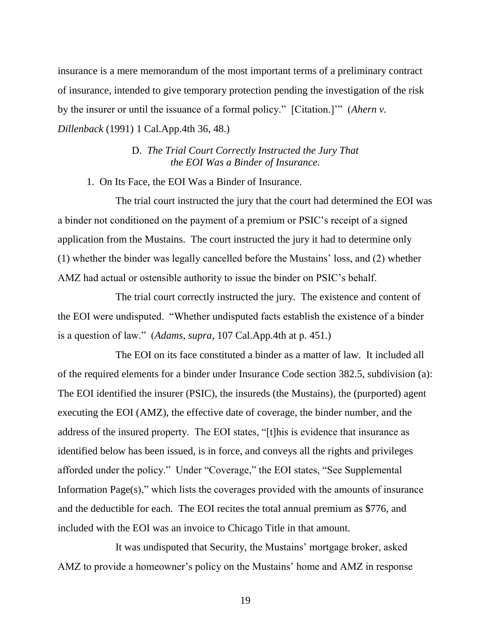insurance is a mere memorandum of the most important terms of a preliminary contract of insurance, intended to give temporary protection pending the investigation of the risk by the insurer or until the issuance of a formal policy." [Citation.]"" (*Ahern v. Dillenback* (1991) 1 Cal.App.4th 36, 48.)

> D. *The Trial Court Correctly Instructed the Jury That the EOI Was a Binder of Insurance.*

1. On Its Face, the EOI Was a Binder of Insurance.

The trial court instructed the jury that the court had determined the EOI was a binder not conditioned on the payment of a premium or PSIC"s receipt of a signed application from the Mustains. The court instructed the jury it had to determine only (1) whether the binder was legally cancelled before the Mustains" loss, and (2) whether AMZ had actual or ostensible authority to issue the binder on PSIC"s behalf.

The trial court correctly instructed the jury. The existence and content of the EOI were undisputed. "Whether undisputed facts establish the existence of a binder is a question of law." (*Adams*, *supra*, 107 Cal.App.4th at p. 451.)

The EOI on its face constituted a binder as a matter of law. It included all of the required elements for a binder under Insurance Code section 382.5, subdivision (a): The EOI identified the insurer (PSIC), the insureds (the Mustains), the (purported) agent executing the EOI (AMZ), the effective date of coverage, the binder number, and the address of the insured property. The EOI states, "[t]his is evidence that insurance as identified below has been issued, is in force, and conveys all the rights and privileges afforded under the policy." Under "Coverage," the EOI states, "See Supplemental Information Page $(s)$ ," which lists the coverages provided with the amounts of insurance and the deductible for each. The EOI recites the total annual premium as \$776, and included with the EOI was an invoice to Chicago Title in that amount.

It was undisputed that Security, the Mustains" mortgage broker, asked AMZ to provide a homeowner's policy on the Mustains' home and AMZ in response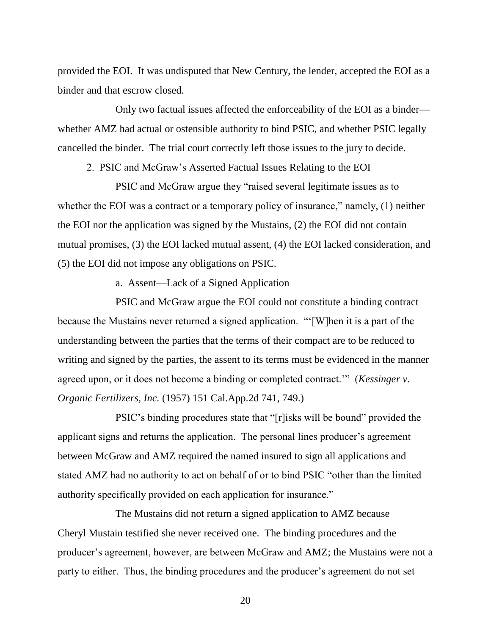provided the EOI. It was undisputed that New Century, the lender, accepted the EOI as a binder and that escrow closed.

Only two factual issues affected the enforceability of the EOI as a binder whether AMZ had actual or ostensible authority to bind PSIC, and whether PSIC legally cancelled the binder. The trial court correctly left those issues to the jury to decide.

2. PSIC and McGraw"s Asserted Factual Issues Relating to the EOI

PSIC and McGraw argue they "raised several legitimate issues as to whether the EOI was a contract or a temporary policy of insurance," namely, (1) neither the EOI nor the application was signed by the Mustains, (2) the EOI did not contain mutual promises, (3) the EOI lacked mutual assent, (4) the EOI lacked consideration, and (5) the EOI did not impose any obligations on PSIC.

a. Assent—Lack of a Signed Application

PSIC and McGraw argue the EOI could not constitute a binding contract because the Mustains never returned a signed application. ""[W]hen it is a part of the understanding between the parties that the terms of their compact are to be reduced to writing and signed by the parties, the assent to its terms must be evidenced in the manner agreed upon, or it does not become a binding or completed contract."" (*Kessinger v. Organic Fertilizers, Inc.* (1957) 151 Cal.App.2d 741, 749.)

PSIC"s binding procedures state that "[r]isks will be bound" provided the applicant signs and returns the application. The personal lines producer's agreement between McGraw and AMZ required the named insured to sign all applications and stated AMZ had no authority to act on behalf of or to bind PSIC "other than the limited authority specifically provided on each application for insurance."

The Mustains did not return a signed application to AMZ because Cheryl Mustain testified she never received one. The binding procedures and the producer's agreement, however, are between McGraw and AMZ; the Mustains were not a party to either. Thus, the binding procedures and the producer"s agreement do not set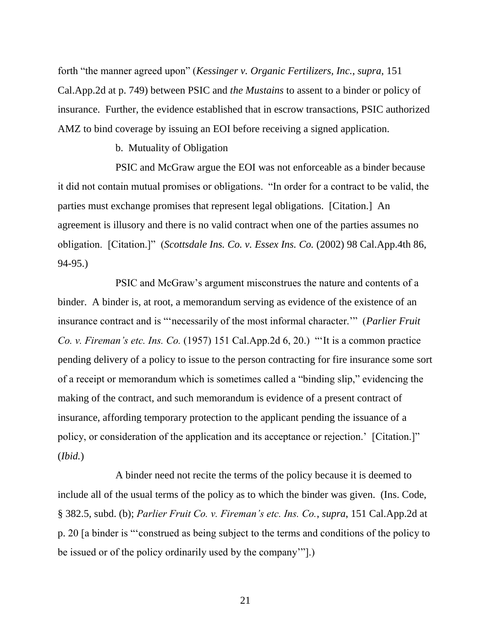forth "the manner agreed upon" (*Kessinger v. Organic Fertilizers, Inc.*, *supra*, 151 Cal.App.2d at p. 749) between PSIC and *the Mustains* to assent to a binder or policy of insurance. Further, the evidence established that in escrow transactions, PSIC authorized AMZ to bind coverage by issuing an EOI before receiving a signed application.

b. Mutuality of Obligation

PSIC and McGraw argue the EOI was not enforceable as a binder because it did not contain mutual promises or obligations. "In order for a contract to be valid, the parties must exchange promises that represent legal obligations. [Citation.] An agreement is illusory and there is no valid contract when one of the parties assumes no obligation. [Citation.]" (*Scottsdale Ins. Co. v. Essex Ins. Co.* (2002) 98 Cal.App.4th 86, 94-95.)

PSIC and McGraw"s argument misconstrues the nature and contents of a binder. A binder is, at root, a memorandum serving as evidence of the existence of an insurance contract and is ""necessarily of the most informal character."" (*Parlier Fruit Co. v. Fireman's etc. Ins. Co.* (1957) 151 Cal.App.2d 6, 20.) ""It is a common practice pending delivery of a policy to issue to the person contracting for fire insurance some sort of a receipt or memorandum which is sometimes called a "binding slip," evidencing the making of the contract, and such memorandum is evidence of a present contract of insurance, affording temporary protection to the applicant pending the issuance of a policy, or consideration of the application and its acceptance or rejection." [Citation.]" (*Ibid.*)

A binder need not recite the terms of the policy because it is deemed to include all of the usual terms of the policy as to which the binder was given. (Ins. Code, § 382.5, subd. (b); *Parlier Fruit Co. v. Fireman's etc. Ins. Co.*, *supra*, 151 Cal.App.2d at p. 20 [a binder is ""construed as being subject to the terms and conditions of the policy to be issued or of the policy ordinarily used by the company""].)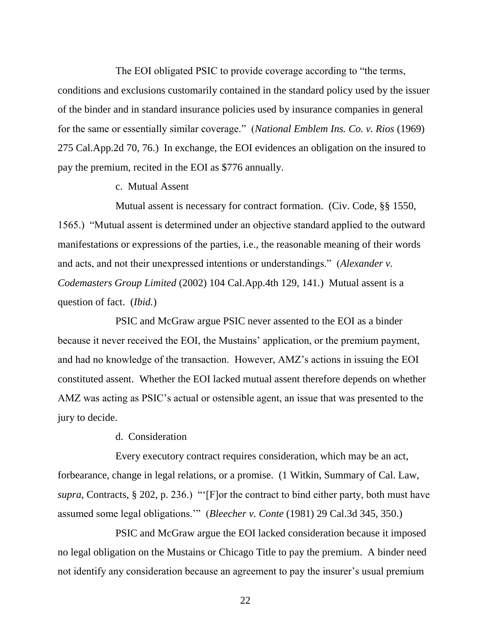The EOI obligated PSIC to provide coverage according to "the terms, conditions and exclusions customarily contained in the standard policy used by the issuer of the binder and in standard insurance policies used by insurance companies in general for the same or essentially similar coverage." (*National Emblem Ins. Co. v. Rios* (1969) 275 Cal.App.2d 70, 76.) In exchange, the EOI evidences an obligation on the insured to pay the premium, recited in the EOI as \$776 annually.

### c. Mutual Assent

Mutual assent is necessary for contract formation. (Civ. Code, §§ 1550, 1565.) "Mutual assent is determined under an objective standard applied to the outward manifestations or expressions of the parties, i.e., the reasonable meaning of their words and acts, and not their unexpressed intentions or understandings." (*Alexander v. Codemasters Group Limited* (2002) 104 Cal.App.4th 129, 141.) Mutual assent is a question of fact. (*Ibid.*)

PSIC and McGraw argue PSIC never assented to the EOI as a binder because it never received the EOI, the Mustains" application, or the premium payment, and had no knowledge of the transaction. However, AMZ"s actions in issuing the EOI constituted assent. Whether the EOI lacked mutual assent therefore depends on whether AMZ was acting as PSIC"s actual or ostensible agent, an issue that was presented to the jury to decide.

d. Consideration

Every executory contract requires consideration, which may be an act, forbearance, change in legal relations, or a promise. (1 Witkin, Summary of Cal. Law, *supra*, Contracts, § 202, p. 236.) ""[F]or the contract to bind either party, both must have assumed some legal obligations."" (*Bleecher v. Conte* (1981) 29 Cal.3d 345, 350.)

PSIC and McGraw argue the EOI lacked consideration because it imposed no legal obligation on the Mustains or Chicago Title to pay the premium. A binder need not identify any consideration because an agreement to pay the insurer's usual premium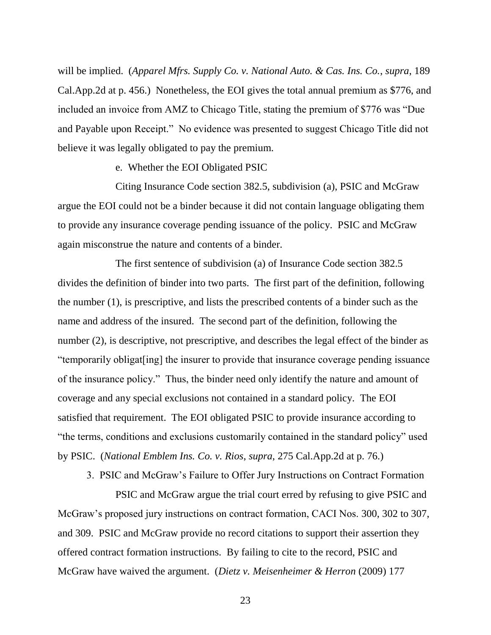will be implied. (*Apparel Mfrs. Supply Co. v. National Auto. & Cas. Ins. Co.*, *supra*, 189 Cal.App.2d at p. 456.) Nonetheless, the EOI gives the total annual premium as \$776, and included an invoice from AMZ to Chicago Title, stating the premium of \$776 was "Due and Payable upon Receipt." No evidence was presented to suggest Chicago Title did not believe it was legally obligated to pay the premium.

e. Whether the EOI Obligated PSIC

Citing Insurance Code section 382.5, subdivision (a), PSIC and McGraw argue the EOI could not be a binder because it did not contain language obligating them to provide any insurance coverage pending issuance of the policy. PSIC and McGraw again misconstrue the nature and contents of a binder.

The first sentence of subdivision (a) of Insurance Code section 382.5 divides the definition of binder into two parts. The first part of the definition, following the number (1), is prescriptive, and lists the prescribed contents of a binder such as the name and address of the insured. The second part of the definition, following the number (2), is descriptive, not prescriptive, and describes the legal effect of the binder as "temporarily obligat[ing] the insurer to provide that insurance coverage pending issuance of the insurance policy." Thus, the binder need only identify the nature and amount of coverage and any special exclusions not contained in a standard policy. The EOI satisfied that requirement. The EOI obligated PSIC to provide insurance according to "the terms, conditions and exclusions customarily contained in the standard policy" used by PSIC. (*National Emblem Ins. Co. v. Rios*, *supra*, 275 Cal.App.2d at p. 76.)

3. PSIC and McGraw"s Failure to Offer Jury Instructions on Contract Formation

PSIC and McGraw argue the trial court erred by refusing to give PSIC and McGraw"s proposed jury instructions on contract formation, CACI Nos. 300, 302 to 307, and 309. PSIC and McGraw provide no record citations to support their assertion they offered contract formation instructions. By failing to cite to the record, PSIC and McGraw have waived the argument. (*Dietz v. Meisenheimer & Herron* (2009) 177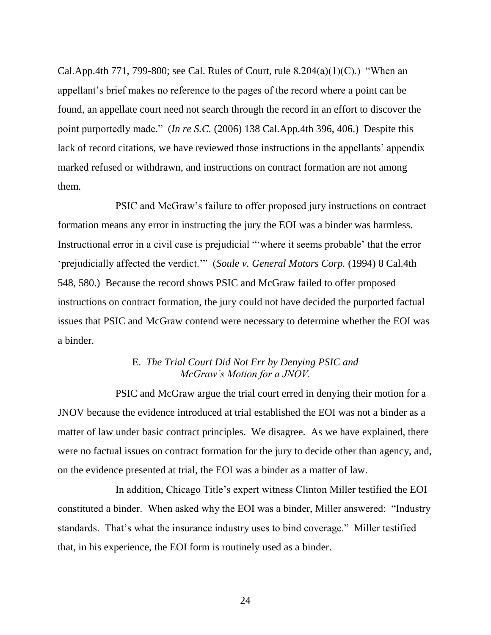Cal.App.4th 771, 799-800; see Cal. Rules of Court, rule  $8.204(a)(1)(C)$ .) "When an appellant"s brief makes no reference to the pages of the record where a point can be found, an appellate court need not search through the record in an effort to discover the point purportedly made." (*In re S.C.* (2006) 138 Cal.App.4th 396, 406.) Despite this lack of record citations, we have reviewed those instructions in the appellants' appendix marked refused or withdrawn, and instructions on contract formation are not among them.

PSIC and McGraw"s failure to offer proposed jury instructions on contract formation means any error in instructing the jury the EOI was a binder was harmless. Instructional error in a civil case is prejudicial ""where it seems probable" that the error "prejudicially affected the verdict."" (*Soule v. General Motors Corp.* (1994) 8 Cal.4th 548, 580.) Because the record shows PSIC and McGraw failed to offer proposed instructions on contract formation, the jury could not have decided the purported factual issues that PSIC and McGraw contend were necessary to determine whether the EOI was a binder.

# E. *The Trial Court Did Not Err by Denying PSIC and McGraw's Motion for a JNOV.*

PSIC and McGraw argue the trial court erred in denying their motion for a JNOV because the evidence introduced at trial established the EOI was not a binder as a matter of law under basic contract principles. We disagree. As we have explained, there were no factual issues on contract formation for the jury to decide other than agency, and, on the evidence presented at trial, the EOI was a binder as a matter of law.

In addition, Chicago Title"s expert witness Clinton Miller testified the EOI constituted a binder. When asked why the EOI was a binder, Miller answered: "Industry standards. That's what the insurance industry uses to bind coverage." Miller testified that, in his experience, the EOI form is routinely used as a binder.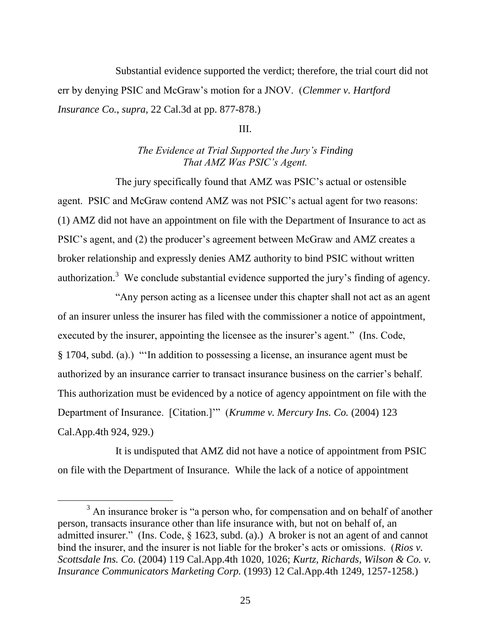Substantial evidence supported the verdict; therefore, the trial court did not err by denying PSIC and McGraw"s motion for a JNOV. (*Clemmer v. Hartford Insurance Co.*, *supra*, 22 Cal.3d at pp. 877-878.)

### III.

# *The Evidence at Trial Supported the Jury's Finding That AMZ Was PSIC's Agent.*

The jury specifically found that AMZ was PSIC"s actual or ostensible agent. PSIC and McGraw contend AMZ was not PSIC"s actual agent for two reasons: (1) AMZ did not have an appointment on file with the Department of Insurance to act as PSIC's agent, and (2) the producer's agreement between McGraw and AMZ creates a broker relationship and expressly denies AMZ authority to bind PSIC without written authorization.<sup>3</sup> We conclude substantial evidence supported the jury's finding of agency.

"Any person acting as a licensee under this chapter shall not act as an agent of an insurer unless the insurer has filed with the commissioner a notice of appointment, executed by the insurer, appointing the licensee as the insurer's agent." (Ins. Code, § 1704, subd. (a).) ""In addition to possessing a license, an insurance agent must be authorized by an insurance carrier to transact insurance business on the carrier"s behalf. This authorization must be evidenced by a notice of agency appointment on file with the Department of Insurance. [Citation.]"" (*Krumme v. Mercury Ins. Co.* (2004) 123 Cal.App.4th 924, 929.)

It is undisputed that AMZ did not have a notice of appointment from PSIC on file with the Department of Insurance. While the lack of a notice of appointment

 $\overline{a}$ 

<sup>&</sup>lt;sup>3</sup> An insurance broker is "a person who, for compensation and on behalf of another person, transacts insurance other than life insurance with, but not on behalf of, an admitted insurer." (Ins. Code, § 1623, subd. (a).) A broker is not an agent of and cannot bind the insurer, and the insurer is not liable for the broker's acts or omissions. (*Rios v*. *Scottsdale Ins. Co.* (2004) 119 Cal.App.4th 1020, 1026; *Kurtz, Richards, Wilson & Co. v. Insurance Communicators Marketing Corp.* (1993) 12 Cal.App.4th 1249, 1257-1258.)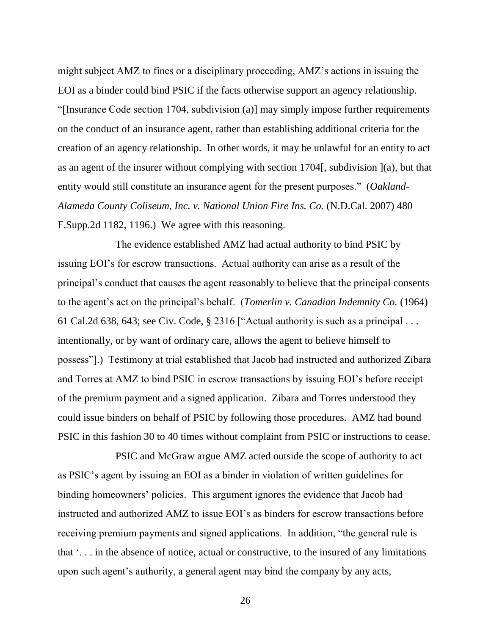might subject AMZ to fines or a disciplinary proceeding, AMZ"s actions in issuing the EOI as a binder could bind PSIC if the facts otherwise support an agency relationship. "[Insurance Code section 1704, subdivision (a)] may simply impose further requirements on the conduct of an insurance agent, rather than establishing additional criteria for the creation of an agency relationship. In other words, it may be unlawful for an entity to act as an agent of the insurer without complying with section 1704[, subdivision ](a), but that entity would still constitute an insurance agent for the present purposes." (*Oakland-Alameda County Coliseum, Inc. v. National Union Fire Ins. Co.* (N.D.Cal. 2007) 480 F.Supp.2d 1182, 1196.) We agree with this reasoning.

The evidence established AMZ had actual authority to bind PSIC by issuing EOI"s for escrow transactions. Actual authority can arise as a result of the principal"s conduct that causes the agent reasonably to believe that the principal consents to the agent"s act on the principal"s behalf. (*Tomerlin v. Canadian Indemnity Co.* (1964) 61 Cal.2d 638, 643; see Civ. Code, § 2316 ["Actual authority is such as a principal . . . intentionally, or by want of ordinary care, allows the agent to believe himself to possess"].) Testimony at trial established that Jacob had instructed and authorized Zibara and Torres at AMZ to bind PSIC in escrow transactions by issuing EOI"s before receipt of the premium payment and a signed application. Zibara and Torres understood they could issue binders on behalf of PSIC by following those procedures. AMZ had bound PSIC in this fashion 30 to 40 times without complaint from PSIC or instructions to cease.

PSIC and McGraw argue AMZ acted outside the scope of authority to act as PSIC"s agent by issuing an EOI as a binder in violation of written guidelines for binding homeowners' policies. This argument ignores the evidence that Jacob had instructed and authorized AMZ to issue EOI"s as binders for escrow transactions before receiving premium payments and signed applications. In addition, "the general rule is that ". . . in the absence of notice, actual or constructive, to the insured of any limitations upon such agent"s authority, a general agent may bind the company by any acts,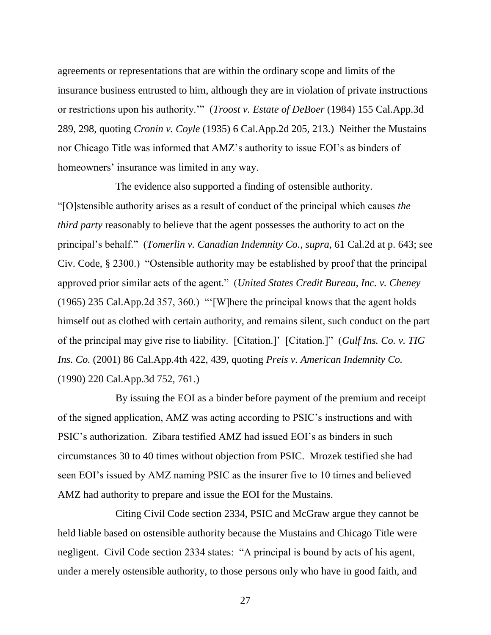agreements or representations that are within the ordinary scope and limits of the insurance business entrusted to him, although they are in violation of private instructions or restrictions upon his authority."" (*Troost v. Estate of DeBoer* (1984) 155 Cal.App.3d 289, 298, quoting *Cronin v. Coyle* (1935) 6 Cal.App.2d 205, 213.) Neither the Mustains nor Chicago Title was informed that AMZ"s authority to issue EOI"s as binders of homeowners' insurance was limited in any way.

The evidence also supported a finding of ostensible authority. "[O]stensible authority arises as a result of conduct of the principal which causes *the third party* reasonably to believe that the agent possesses the authority to act on the principal"s behalf." (*Tomerlin v. Canadian Indemnity Co.*, *supra*, 61 Cal.2d at p. 643; see Civ. Code, § 2300.) "Ostensible authority may be established by proof that the principal approved prior similar acts of the agent." (*United States Credit Bureau, Inc. v. Cheney* (1965) 235 Cal.App.2d 357, 360.) ""[W]here the principal knows that the agent holds himself out as clothed with certain authority, and remains silent, such conduct on the part of the principal may give rise to liability. [Citation.]" [Citation.]" (*Gulf Ins. Co. v. TIG Ins. Co.* (2001) 86 Cal.App.4th 422, 439, quoting *Preis v. American Indemnity Co.* (1990) 220 Cal.App.3d 752, 761.)

By issuing the EOI as a binder before payment of the premium and receipt of the signed application, AMZ was acting according to PSIC"s instructions and with PSIC"s authorization. Zibara testified AMZ had issued EOI"s as binders in such circumstances 30 to 40 times without objection from PSIC. Mrozek testified she had seen EOI's issued by AMZ naming PSIC as the insurer five to 10 times and believed AMZ had authority to prepare and issue the EOI for the Mustains.

Citing Civil Code section 2334, PSIC and McGraw argue they cannot be held liable based on ostensible authority because the Mustains and Chicago Title were negligent. Civil Code section 2334 states: "A principal is bound by acts of his agent, under a merely ostensible authority, to those persons only who have in good faith, and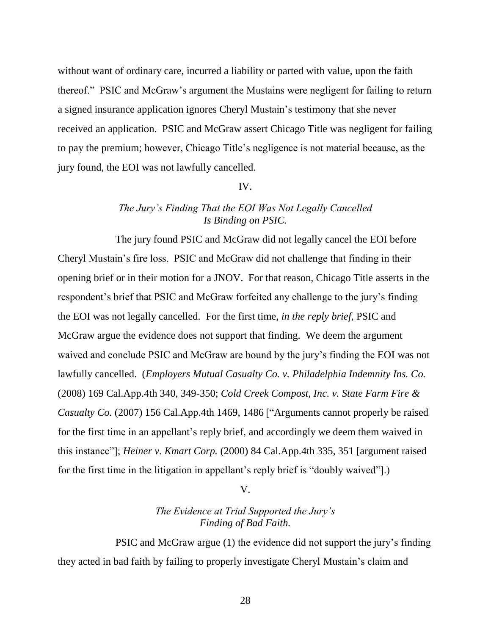without want of ordinary care, incurred a liability or parted with value, upon the faith thereof." PSIC and McGraw"s argument the Mustains were negligent for failing to return a signed insurance application ignores Cheryl Mustain"s testimony that she never received an application. PSIC and McGraw assert Chicago Title was negligent for failing to pay the premium; however, Chicago Title"s negligence is not material because, as the jury found, the EOI was not lawfully cancelled.

### IV.

# *The Jury's Finding That the EOI Was Not Legally Cancelled Is Binding on PSIC.*

The jury found PSIC and McGraw did not legally cancel the EOI before Cheryl Mustain"s fire loss. PSIC and McGraw did not challenge that finding in their opening brief or in their motion for a JNOV. For that reason, Chicago Title asserts in the respondent's brief that PSIC and McGraw forfeited any challenge to the jury's finding the EOI was not legally cancelled. For the first time, *in the reply brief*, PSIC and McGraw argue the evidence does not support that finding. We deem the argument waived and conclude PSIC and McGraw are bound by the jury"s finding the EOI was not lawfully cancelled. (*Employers Mutual Casualty Co. v. Philadelphia Indemnity Ins. Co.* (2008) 169 Cal.App.4th 340, 349-350; *Cold Creek Compost, Inc. v. State Farm Fire & Casualty Co.* (2007) 156 Cal.App.4th 1469, 1486 ["Arguments cannot properly be raised for the first time in an appellant"s reply brief, and accordingly we deem them waived in this instance"]; *Heiner v. Kmart Corp.* (2000) 84 Cal.App.4th 335, 351 [argument raised for the first time in the litigation in appellant's reply brief is "doubly waived"].)

V.

# *The Evidence at Trial Supported the Jury's Finding of Bad Faith.*

PSIC and McGraw argue (1) the evidence did not support the jury"s finding they acted in bad faith by failing to properly investigate Cheryl Mustain"s claim and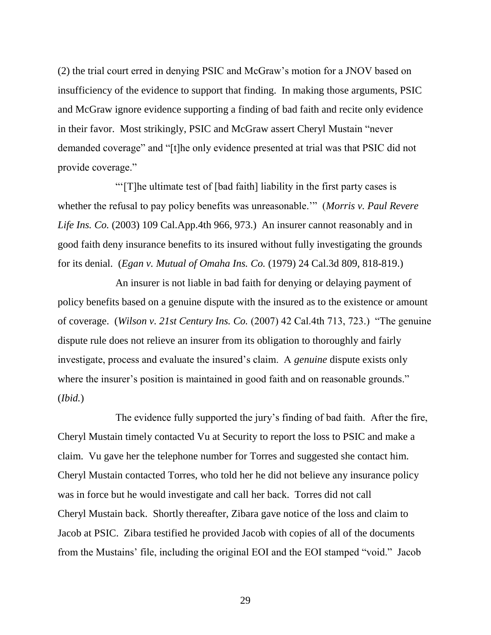(2) the trial court erred in denying PSIC and McGraw"s motion for a JNOV based on insufficiency of the evidence to support that finding. In making those arguments, PSIC and McGraw ignore evidence supporting a finding of bad faith and recite only evidence in their favor. Most strikingly, PSIC and McGraw assert Cheryl Mustain "never demanded coverage" and "[t]he only evidence presented at trial was that PSIC did not provide coverage."

""[T]he ultimate test of [bad faith] liability in the first party cases is whether the refusal to pay policy benefits was unreasonable."" (*Morris v. Paul Revere Life Ins. Co.* (2003) 109 Cal.App.4th 966, 973.) An insurer cannot reasonably and in good faith deny insurance benefits to its insured without fully investigating the grounds for its denial. (*Egan v. Mutual of Omaha Ins. Co.* (1979) 24 Cal.3d 809, 818-819.)

An insurer is not liable in bad faith for denying or delaying payment of policy benefits based on a genuine dispute with the insured as to the existence or amount of coverage. (*Wilson v. 21st Century Ins. Co.* (2007) 42 Cal.4th 713, 723.) "The genuine dispute rule does not relieve an insurer from its obligation to thoroughly and fairly investigate, process and evaluate the insured"s claim. A *genuine* dispute exists only where the insurer's position is maintained in good faith and on reasonable grounds." (*Ibid.*)

The evidence fully supported the jury"s finding of bad faith. After the fire, Cheryl Mustain timely contacted Vu at Security to report the loss to PSIC and make a claim. Vu gave her the telephone number for Torres and suggested she contact him. Cheryl Mustain contacted Torres, who told her he did not believe any insurance policy was in force but he would investigate and call her back. Torres did not call Cheryl Mustain back. Shortly thereafter, Zibara gave notice of the loss and claim to Jacob at PSIC. Zibara testified he provided Jacob with copies of all of the documents from the Mustains" file, including the original EOI and the EOI stamped "void." Jacob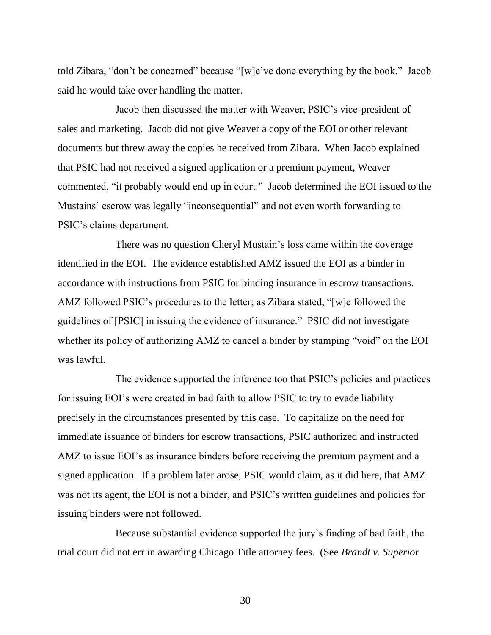told Zibara, "don"t be concerned" because "[w]e"ve done everything by the book." Jacob said he would take over handling the matter.

Jacob then discussed the matter with Weaver, PSIC"s vice-president of sales and marketing. Jacob did not give Weaver a copy of the EOI or other relevant documents but threw away the copies he received from Zibara. When Jacob explained that PSIC had not received a signed application or a premium payment, Weaver commented, "it probably would end up in court." Jacob determined the EOI issued to the Mustains' escrow was legally "inconsequential" and not even worth forwarding to PSIC"s claims department.

There was no question Cheryl Mustain"s loss came within the coverage identified in the EOI. The evidence established AMZ issued the EOI as a binder in accordance with instructions from PSIC for binding insurance in escrow transactions. AMZ followed PSIC"s procedures to the letter; as Zibara stated, "[w]e followed the guidelines of [PSIC] in issuing the evidence of insurance." PSIC did not investigate whether its policy of authorizing AMZ to cancel a binder by stamping "void" on the EOI was lawful.

The evidence supported the inference too that PSIC"s policies and practices for issuing EOI"s were created in bad faith to allow PSIC to try to evade liability precisely in the circumstances presented by this case. To capitalize on the need for immediate issuance of binders for escrow transactions, PSIC authorized and instructed AMZ to issue EOI's as insurance binders before receiving the premium payment and a signed application. If a problem later arose, PSIC would claim, as it did here, that AMZ was not its agent, the EOI is not a binder, and PSIC"s written guidelines and policies for issuing binders were not followed.

Because substantial evidence supported the jury"s finding of bad faith, the trial court did not err in awarding Chicago Title attorney fees. (See *Brandt v. Superior*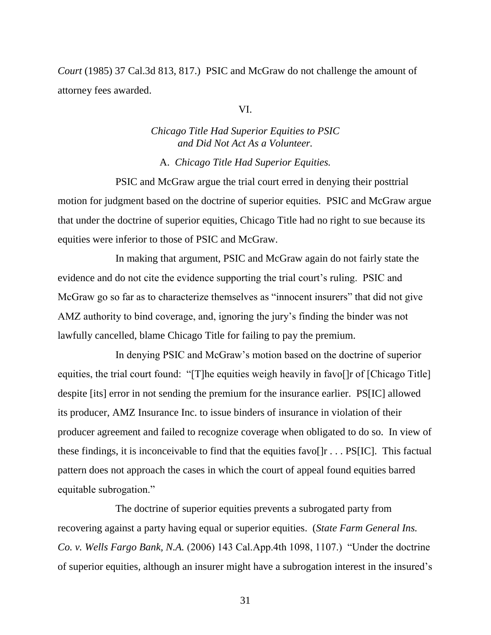*Court* (1985) 37 Cal.3d 813, 817.) PSIC and McGraw do not challenge the amount of attorney fees awarded.

### VI.

# *Chicago Title Had Superior Equities to PSIC and Did Not Act As a Volunteer.*

A. *Chicago Title Had Superior Equities.*

PSIC and McGraw argue the trial court erred in denying their posttrial motion for judgment based on the doctrine of superior equities. PSIC and McGraw argue that under the doctrine of superior equities, Chicago Title had no right to sue because its equities were inferior to those of PSIC and McGraw.

In making that argument, PSIC and McGraw again do not fairly state the evidence and do not cite the evidence supporting the trial court's ruling. PSIC and McGraw go so far as to characterize themselves as "innocent insurers" that did not give AMZ authority to bind coverage, and, ignoring the jury"s finding the binder was not lawfully cancelled, blame Chicago Title for failing to pay the premium.

In denying PSIC and McGraw"s motion based on the doctrine of superior equities, the trial court found: "[T]he equities weigh heavily in favol] of [Chicago Title] despite [its] error in not sending the premium for the insurance earlier. PS[IC] allowed its producer, AMZ Insurance Inc. to issue binders of insurance in violation of their producer agreement and failed to recognize coverage when obligated to do so. In view of these findings, it is inconceivable to find that the equities favo[ $|r \dots PS[IC]$ . This factual pattern does not approach the cases in which the court of appeal found equities barred equitable subrogation."

The doctrine of superior equities prevents a subrogated party from recovering against a party having equal or superior equities. (*State Farm General Ins. Co. v. Wells Fargo Bank, N.A.* (2006) 143 Cal.App.4th 1098, 1107.) "Under the doctrine of superior equities, although an insurer might have a subrogation interest in the insured"s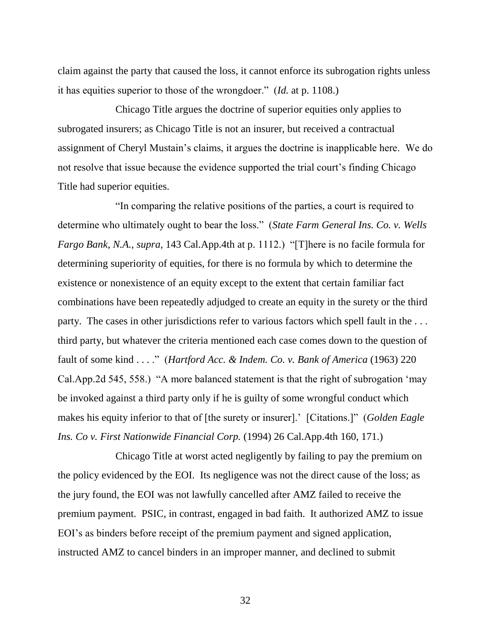claim against the party that caused the loss, it cannot enforce its subrogation rights unless it has equities superior to those of the wrongdoer." (*Id.* at p. 1108.)

Chicago Title argues the doctrine of superior equities only applies to subrogated insurers; as Chicago Title is not an insurer, but received a contractual assignment of Cheryl Mustain"s claims, it argues the doctrine is inapplicable here. We do not resolve that issue because the evidence supported the trial court's finding Chicago Title had superior equities.

"In comparing the relative positions of the parties, a court is required to determine who ultimately ought to bear the loss." (*State Farm General Ins. Co. v. Wells Fargo Bank, N.A.*, *supra*, 143 Cal.App.4th at p. 1112.) "[T]here is no facile formula for determining superiority of equities, for there is no formula by which to determine the existence or nonexistence of an equity except to the extent that certain familiar fact combinations have been repeatedly adjudged to create an equity in the surety or the third party. The cases in other jurisdictions refer to various factors which spell fault in the . . . third party, but whatever the criteria mentioned each case comes down to the question of fault of some kind . . . ." (*Hartford Acc. & Indem. Co. v. Bank of America* (1963) 220 Cal.App.2d 545, 558.) "A more balanced statement is that the right of subrogation "may be invoked against a third party only if he is guilty of some wrongful conduct which makes his equity inferior to that of [the surety or insurer]." [Citations.]" (*Golden Eagle Ins. Co v. First Nationwide Financial Corp.* (1994) 26 Cal.App.4th 160, 171.)

Chicago Title at worst acted negligently by failing to pay the premium on the policy evidenced by the EOI. Its negligence was not the direct cause of the loss; as the jury found, the EOI was not lawfully cancelled after AMZ failed to receive the premium payment. PSIC, in contrast, engaged in bad faith. It authorized AMZ to issue EOI's as binders before receipt of the premium payment and signed application, instructed AMZ to cancel binders in an improper manner, and declined to submit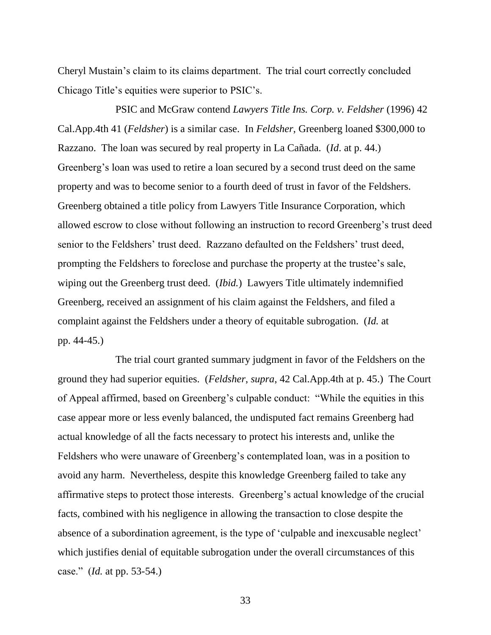Cheryl Mustain"s claim to its claims department. The trial court correctly concluded Chicago Title"s equities were superior to PSIC"s.

PSIC and McGraw contend *Lawyers Title Ins. Corp. v. Feldsher* (1996) 42 Cal.App.4th 41 (*Feldsher*) is a similar case. In *Feldsher*, Greenberg loaned \$300,000 to Razzano. The loan was secured by real property in La Cañada. (*Id*. at p. 44.) Greenberg's loan was used to retire a loan secured by a second trust deed on the same property and was to become senior to a fourth deed of trust in favor of the Feldshers. Greenberg obtained a title policy from Lawyers Title Insurance Corporation, which allowed escrow to close without following an instruction to record Greenberg"s trust deed senior to the Feldshers' trust deed. Razzano defaulted on the Feldshers' trust deed, prompting the Feldshers to foreclose and purchase the property at the trustee"s sale, wiping out the Greenberg trust deed. (*Ibid.*) Lawyers Title ultimately indemnified Greenberg, received an assignment of his claim against the Feldshers, and filed a complaint against the Feldshers under a theory of equitable subrogation. (*Id.* at pp. 44-45.)

The trial court granted summary judgment in favor of the Feldshers on the ground they had superior equities. (*Feldsher*, *supra*, 42 Cal.App.4th at p. 45.) The Court of Appeal affirmed, based on Greenberg"s culpable conduct: "While the equities in this case appear more or less evenly balanced, the undisputed fact remains Greenberg had actual knowledge of all the facts necessary to protect his interests and, unlike the Feldshers who were unaware of Greenberg's contemplated loan, was in a position to avoid any harm. Nevertheless, despite this knowledge Greenberg failed to take any affirmative steps to protect those interests. Greenberg"s actual knowledge of the crucial facts, combined with his negligence in allowing the transaction to close despite the absence of a subordination agreement, is the type of 'culpable and inexcusable neglect' which justifies denial of equitable subrogation under the overall circumstances of this case." (*Id.* at pp. 53-54.)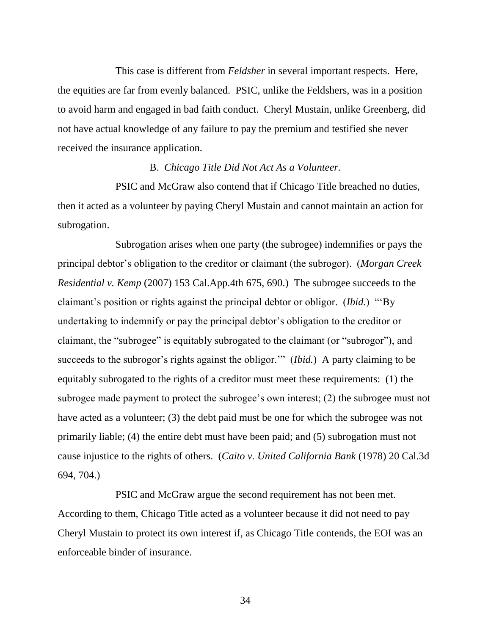This case is different from *Feldsher* in several important respects. Here, the equities are far from evenly balanced. PSIC, unlike the Feldshers, was in a position to avoid harm and engaged in bad faith conduct. Cheryl Mustain, unlike Greenberg, did not have actual knowledge of any failure to pay the premium and testified she never received the insurance application.

### B. *Chicago Title Did Not Act As a Volunteer.*

PSIC and McGraw also contend that if Chicago Title breached no duties, then it acted as a volunteer by paying Cheryl Mustain and cannot maintain an action for subrogation.

Subrogation arises when one party (the subrogee) indemnifies or pays the principal debtor"s obligation to the creditor or claimant (the subrogor). (*Morgan Creek Residential v. Kemp* (2007) 153 Cal.App.4th 675, 690.) The subrogee succeeds to the claimant"s position or rights against the principal debtor or obligor. (*Ibid.*) ""By undertaking to indemnify or pay the principal debtor"s obligation to the creditor or claimant, the "subrogee" is equitably subrogated to the claimant (or "subrogor"), and succeeds to the subrogor's rights against the obligor."" (*Ibid.*) A party claiming to be equitably subrogated to the rights of a creditor must meet these requirements: (1) the subrogee made payment to protect the subrogee's own interest; (2) the subrogee must not have acted as a volunteer; (3) the debt paid must be one for which the subrogee was not primarily liable; (4) the entire debt must have been paid; and (5) subrogation must not cause injustice to the rights of others. (*Caito v. United California Bank* (1978) 20 Cal.3d 694, 704.)

PSIC and McGraw argue the second requirement has not been met. According to them, Chicago Title acted as a volunteer because it did not need to pay Cheryl Mustain to protect its own interest if, as Chicago Title contends, the EOI was an enforceable binder of insurance.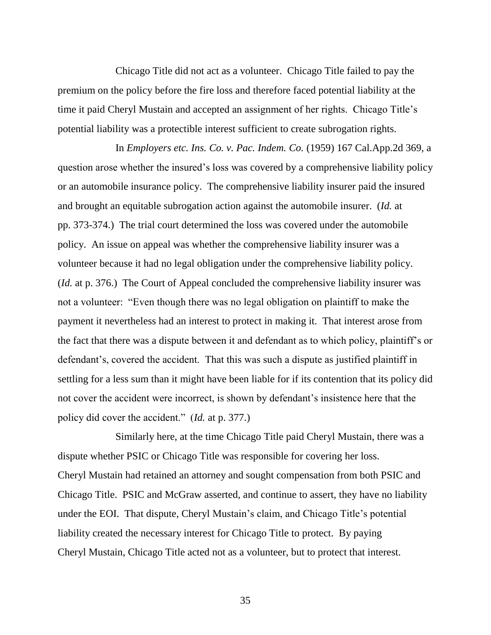Chicago Title did not act as a volunteer. Chicago Title failed to pay the premium on the policy before the fire loss and therefore faced potential liability at the time it paid Cheryl Mustain and accepted an assignment of her rights. Chicago Title"s potential liability was a protectible interest sufficient to create subrogation rights.

In *Employers etc. Ins. Co. v. Pac. Indem. Co.* (1959) 167 Cal.App.2d 369, a question arose whether the insured"s loss was covered by a comprehensive liability policy or an automobile insurance policy. The comprehensive liability insurer paid the insured and brought an equitable subrogation action against the automobile insurer. (*Id.* at pp. 373-374.) The trial court determined the loss was covered under the automobile policy. An issue on appeal was whether the comprehensive liability insurer was a volunteer because it had no legal obligation under the comprehensive liability policy. (*Id.* at p. 376.) The Court of Appeal concluded the comprehensive liability insurer was not a volunteer: "Even though there was no legal obligation on plaintiff to make the payment it nevertheless had an interest to protect in making it. That interest arose from the fact that there was a dispute between it and defendant as to which policy, plaintiff"s or defendant's, covered the accident. That this was such a dispute as justified plaintiff in settling for a less sum than it might have been liable for if its contention that its policy did not cover the accident were incorrect, is shown by defendant's insistence here that the policy did cover the accident." (*Id.* at p. 377.)

Similarly here, at the time Chicago Title paid Cheryl Mustain, there was a dispute whether PSIC or Chicago Title was responsible for covering her loss. Cheryl Mustain had retained an attorney and sought compensation from both PSIC and Chicago Title. PSIC and McGraw asserted, and continue to assert, they have no liability under the EOI. That dispute, Cheryl Mustain"s claim, and Chicago Title"s potential liability created the necessary interest for Chicago Title to protect. By paying Cheryl Mustain, Chicago Title acted not as a volunteer, but to protect that interest.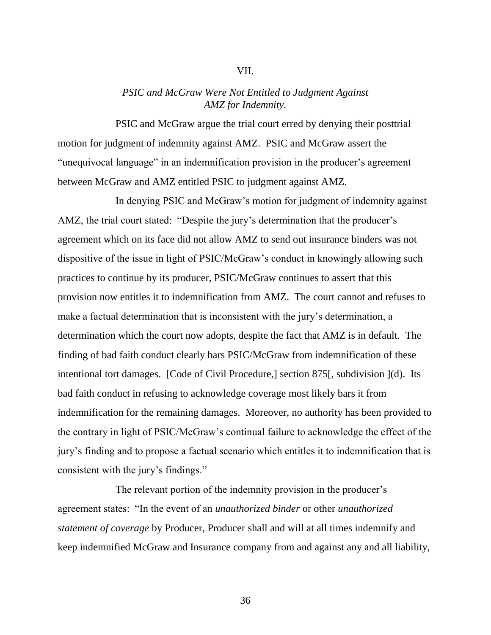### VII.

# *PSIC and McGraw Were Not Entitled to Judgment Against AMZ for Indemnity.*

PSIC and McGraw argue the trial court erred by denying their posttrial motion for judgment of indemnity against AMZ. PSIC and McGraw assert the "unequivocal language" in an indemnification provision in the producer's agreement between McGraw and AMZ entitled PSIC to judgment against AMZ.

In denying PSIC and McGraw's motion for judgment of indemnity against AMZ, the trial court stated: "Despite the jury's determination that the producer's agreement which on its face did not allow AMZ to send out insurance binders was not dispositive of the issue in light of PSIC/McGraw's conduct in knowingly allowing such practices to continue by its producer, PSIC/McGraw continues to assert that this provision now entitles it to indemnification from AMZ. The court cannot and refuses to make a factual determination that is inconsistent with the jury's determination, a determination which the court now adopts, despite the fact that AMZ is in default. The finding of bad faith conduct clearly bars PSIC/McGraw from indemnification of these intentional tort damages. [Code of Civil Procedure,] section 875[, subdivision ](d). Its bad faith conduct in refusing to acknowledge coverage most likely bars it from indemnification for the remaining damages. Moreover, no authority has been provided to the contrary in light of PSIC/McGraw"s continual failure to acknowledge the effect of the jury"s finding and to propose a factual scenario which entitles it to indemnification that is consistent with the jury's findings."

The relevant portion of the indemnity provision in the producer's agreement states: "In the event of an *unauthorized binder* or other *unauthorized statement of coverage* by Producer, Producer shall and will at all times indemnify and keep indemnified McGraw and Insurance company from and against any and all liability,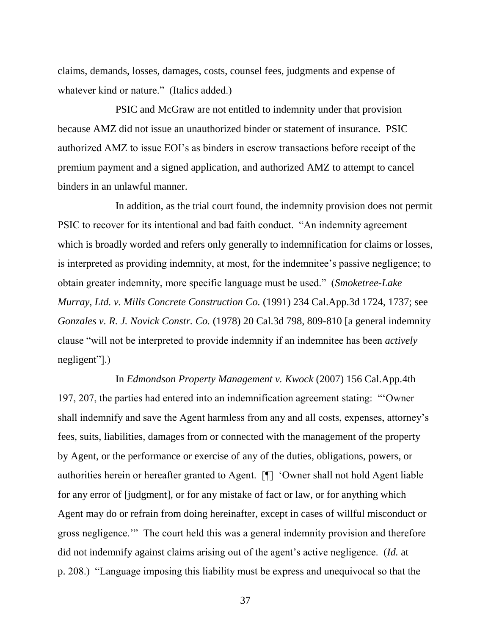claims, demands, losses, damages, costs, counsel fees, judgments and expense of whatever kind or nature." (Italics added.)

PSIC and McGraw are not entitled to indemnity under that provision because AMZ did not issue an unauthorized binder or statement of insurance. PSIC authorized AMZ to issue EOI"s as binders in escrow transactions before receipt of the premium payment and a signed application, and authorized AMZ to attempt to cancel binders in an unlawful manner.

In addition, as the trial court found, the indemnity provision does not permit PSIC to recover for its intentional and bad faith conduct. "An indemnity agreement which is broadly worded and refers only generally to indemnification for claims or losses, is interpreted as providing indemnity, at most, for the indemnitee"s passive negligence; to obtain greater indemnity, more specific language must be used." (*Smoketree-Lake Murray, Ltd. v. Mills Concrete Construction Co.* (1991) 234 Cal.App.3d 1724, 1737; see *Gonzales v. R. J. Novick Constr. Co.* (1978) 20 Cal.3d 798, 809-810 [a general indemnity clause "will not be interpreted to provide indemnity if an indemnitee has been *actively* negligent"].)

In *Edmondson Property Management v. Kwock* (2007) 156 Cal.App.4th 197, 207, the parties had entered into an indemnification agreement stating: ""Owner shall indemnify and save the Agent harmless from any and all costs, expenses, attorney"s fees, suits, liabilities, damages from or connected with the management of the property by Agent, or the performance or exercise of any of the duties, obligations, powers, or authorities herein or hereafter granted to Agent. [¶] "Owner shall not hold Agent liable for any error of [judgment], or for any mistake of fact or law, or for anything which Agent may do or refrain from doing hereinafter, except in cases of willful misconduct or gross negligence."" The court held this was a general indemnity provision and therefore did not indemnify against claims arising out of the agent's active negligence. (*Id.* at p. 208.) "Language imposing this liability must be express and unequivocal so that the